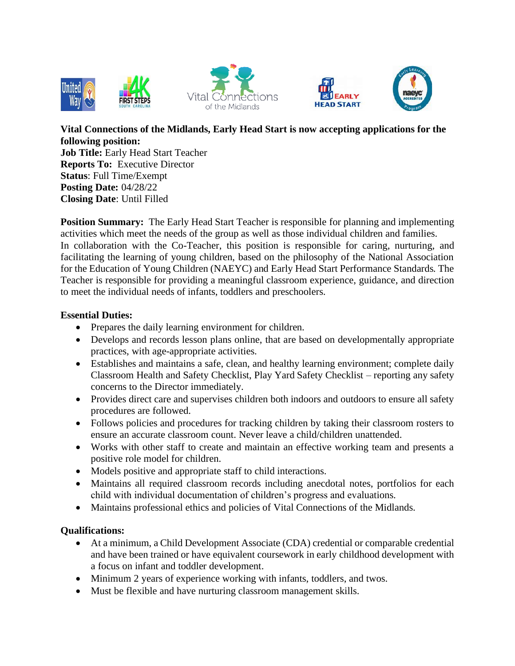







**Vital Connections of the Midlands, Early Head Start is now accepting applications for the following position: Job Title:** Early Head Start Teacher **Reports To:** Executive Director **Status**: Full Time/Exempt **Posting Date:** 04/28/22 **Closing Date**: Until Filled

**Position Summary:** The Early Head Start Teacher is responsible for planning and implementing activities which meet the needs of the group as well as those individual children and families. In collaboration with the Co-Teacher, this position is responsible for caring, nurturing, and facilitating the learning of young children, based on the philosophy of the National Association for the Education of Young Children (NAEYC) and Early Head Start Performance Standards. The Teacher is responsible for providing a meaningful classroom experience, guidance, and direction to meet the individual needs of infants, toddlers and preschoolers.

## **Essential Duties:**

- Prepares the daily learning environment for children.
- Develops and records lesson plans online, that are based on developmentally appropriate practices, with age-appropriate activities.
- Establishes and maintains a safe, clean, and healthy learning environment; complete daily Classroom Health and Safety Checklist, Play Yard Safety Checklist – reporting any safety concerns to the Director immediately.
- Provides direct care and supervises children both indoors and outdoors to ensure all safety procedures are followed.
- Follows policies and procedures for tracking children by taking their classroom rosters to ensure an accurate classroom count. Never leave a child/children unattended.
- Works with other staff to create and maintain an effective working team and presents a positive role model for children.
- Models positive and appropriate staff to child interactions.
- Maintains all required classroom records including anecdotal notes, portfolios for each child with individual documentation of children's progress and evaluations.
- Maintains professional ethics and policies of Vital Connections of the Midlands.

## **Qualifications:**

- At a minimum, a Child Development Associate (CDA) credential or comparable credential and have been trained or have equivalent coursework in early childhood development with a focus on infant and toddler development.
- Minimum 2 years of experience working with infants, toddlers, and twos.
- Must be flexible and have nurturing classroom management skills.